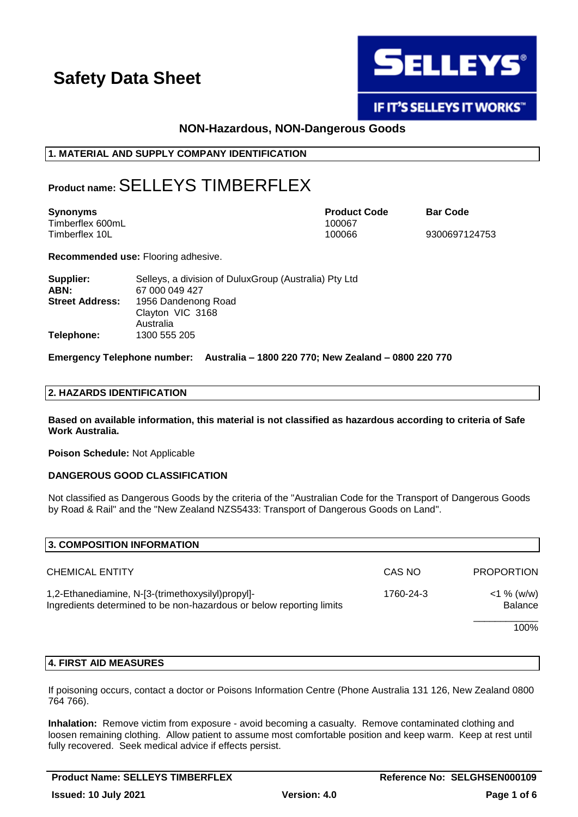

# **IF IT'S SELLEYS IT WORKS"**

# **NON-Hazardous, NON-Dangerous Goods**

## **1. MATERIAL AND SUPPLY COMPANY IDENTIFICATION**

# **Product name:**SELLEYS TIMBERFLEX

| <b>Synonyms</b>  | <b>Product Code</b> | <b>Bar Code</b> |
|------------------|---------------------|-----------------|
| Timberflex 600mL | 100067              |                 |
| Timberflex 10L   | 100066              | 9300697124753   |

**Recommended use:** Flooring adhesive.

| Supplier:              | Selleys, a division of Dulux Group (Australia) Pty Ltd |  |  |
|------------------------|--------------------------------------------------------|--|--|
| ABN:                   | 67 000 049 427                                         |  |  |
| <b>Street Address:</b> | 1956 Dandenong Road                                    |  |  |
|                        | Clayton VIC 3168                                       |  |  |
|                        | Australia                                              |  |  |
| Telephone:             | 1300 555 205                                           |  |  |

**Emergency Telephone number: Australia – 1800 220 770; New Zealand – 0800 220 770**

### **2. HAZARDS IDENTIFICATION**

**Based on available information, this material is not classified as hazardous according to criteria of Safe Work Australia.**

**Poison Schedule:** Not Applicable

### **DANGEROUS GOOD CLASSIFICATION**

Not classified as Dangerous Goods by the criteria of the "Australian Code for the Transport of Dangerous Goods by Road & Rail" and the "New Zealand NZS5433: Transport of Dangerous Goods on Land".

| 3. COMPOSITION INFORMATION                                                                                                             |        |                          |
|----------------------------------------------------------------------------------------------------------------------------------------|--------|--------------------------|
| <b>CHEMICAL ENTITY</b>                                                                                                                 | CAS NO | <b>PROPORTION</b>        |
| 1,2-Ethanediamine, N-[3-(trimethoxysilyl)propyl]-<br>1760-24-3<br>Ingredients determined to be non-hazardous or below reporting limits |        | $<$ 1 % (w/w)<br>Balance |
|                                                                                                                                        |        | 100%                     |

# **4. FIRST AID MEASURES**

If poisoning occurs, contact a doctor or Poisons Information Centre (Phone Australia 131 126, New Zealand 0800 764 766).

**Inhalation:** Remove victim from exposure - avoid becoming a casualty. Remove contaminated clothing and loosen remaining clothing. Allow patient to assume most comfortable position and keep warm. Keep at rest until fully recovered. Seek medical advice if effects persist.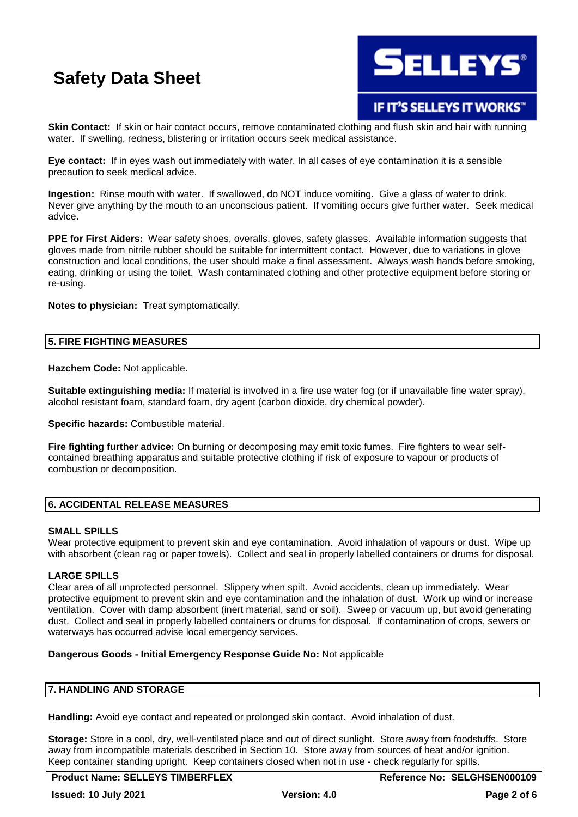

# IF IT'S SELLEYS IT WORKS"

**Skin Contact:** If skin or hair contact occurs, remove contaminated clothing and flush skin and hair with running water. If swelling, redness, blistering or irritation occurs seek medical assistance.

**Eye contact:** If in eyes wash out immediately with water. In all cases of eye contamination it is a sensible precaution to seek medical advice.

**Ingestion:** Rinse mouth with water. If swallowed, do NOT induce vomiting. Give a glass of water to drink. Never give anything by the mouth to an unconscious patient. If vomiting occurs give further water. Seek medical advice.

**PPE for First Aiders:** Wear safety shoes, overalls, gloves, safety glasses. Available information suggests that gloves made from nitrile rubber should be suitable for intermittent contact. However, due to variations in glove construction and local conditions, the user should make a final assessment. Always wash hands before smoking, eating, drinking or using the toilet. Wash contaminated clothing and other protective equipment before storing or re-using.

**Notes to physician:** Treat symptomatically.

#### **5. FIRE FIGHTING MEASURES**

**Hazchem Code:** Not applicable.

**Suitable extinguishing media:** If material is involved in a fire use water fog (or if unavailable fine water spray), alcohol resistant foam, standard foam, dry agent (carbon dioxide, dry chemical powder).

**Specific hazards:** Combustible material.

**Fire fighting further advice:** On burning or decomposing may emit toxic fumes. Fire fighters to wear selfcontained breathing apparatus and suitable protective clothing if risk of exposure to vapour or products of combustion or decomposition.

## **6. ACCIDENTAL RELEASE MEASURES**

#### **SMALL SPILLS**

Wear protective equipment to prevent skin and eye contamination. Avoid inhalation of vapours or dust. Wipe up with absorbent (clean rag or paper towels). Collect and seal in properly labelled containers or drums for disposal.

#### **LARGE SPILLS**

Clear area of all unprotected personnel. Slippery when spilt. Avoid accidents, clean up immediately. Wear protective equipment to prevent skin and eye contamination and the inhalation of dust. Work up wind or increase ventilation. Cover with damp absorbent (inert material, sand or soil). Sweep or vacuum up, but avoid generating dust. Collect and seal in properly labelled containers or drums for disposal. If contamination of crops, sewers or waterways has occurred advise local emergency services.

#### **Dangerous Goods - Initial Emergency Response Guide No:** Not applicable

#### **7. HANDLING AND STORAGE**

**Handling:** Avoid eye contact and repeated or prolonged skin contact. Avoid inhalation of dust.

**Storage:** Store in a cool, dry, well-ventilated place and out of direct sunlight. Store away from foodstuffs. Store away from incompatible materials described in Section 10. Store away from sources of heat and/or ignition. Keep container standing upright. Keep containers closed when not in use - check regularly for spills.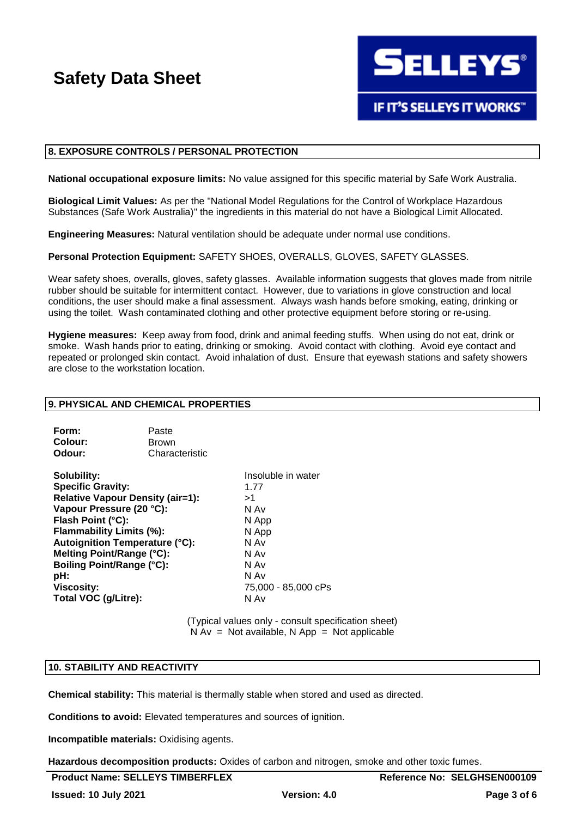

#### **8. EXPOSURE CONTROLS / PERSONAL PROTECTION**

**National occupational exposure limits:** No value assigned for this specific material by Safe Work Australia.

**Biological Limit Values:** As per the "National Model Regulations for the Control of Workplace Hazardous Substances (Safe Work Australia)" the ingredients in this material do not have a Biological Limit Allocated.

**Engineering Measures:** Natural ventilation should be adequate under normal use conditions.

**Personal Protection Equipment:** SAFETY SHOES, OVERALLS, GLOVES, SAFETY GLASSES.

Wear safety shoes, overalls, gloves, safety glasses. Available information suggests that gloves made from nitrile rubber should be suitable for intermittent contact. However, due to variations in glove construction and local conditions, the user should make a final assessment. Always wash hands before smoking, eating, drinking or using the toilet. Wash contaminated clothing and other protective equipment before storing or re-using.

**Hygiene measures:** Keep away from food, drink and animal feeding stuffs. When using do not eat, drink or smoke. Wash hands prior to eating, drinking or smoking. Avoid contact with clothing. Avoid eye contact and repeated or prolonged skin contact. Avoid inhalation of dust. Ensure that eyewash stations and safety showers are close to the workstation location.

### **9. PHYSICAL AND CHEMICAL PROPERTIES**

| Form:   | Paste          |
|---------|----------------|
| Colour: | <b>Brown</b>   |
| Odour:  | Characteristic |

**Solubility:** Insoluble in water **Specific Gravity:** 1.77 **Relative Vapour Density (air=1):** >1 **Vapour Pressure (20 °C):** N Av **Flash Point (°C):** N App **Flammability Limits (%):** N App **Autoignition Temperature (°C):** N Av **Melting Point/Range (°C):** N Av **Boiling Point/Range (°C):** N Av **pH:** N Av **Viscosity:** 75,000 - 85,000 cPs **Total VOC (g/Litre):** N Av

(Typical values only - consult specification sheet)  $N Av = Not available, N App = Not applicable$ 

#### **10. STABILITY AND REACTIVITY**

**Chemical stability:** This material is thermally stable when stored and used as directed.

**Conditions to avoid:** Elevated temperatures and sources of ignition.

**Incompatible materials:** Oxidising agents.

**Hazardous decomposition products:** Oxides of carbon and nitrogen, smoke and other toxic fumes.

**Reference No: SELGHSEN000109**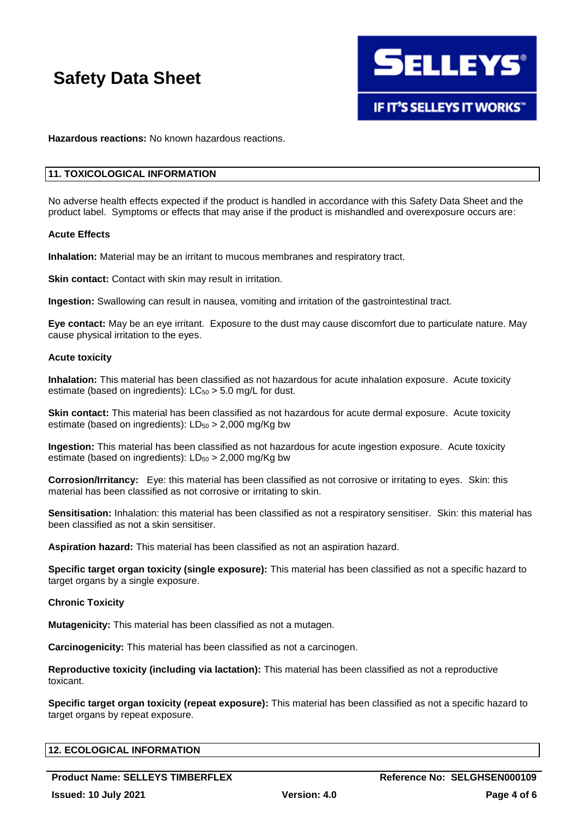

**Hazardous reactions:** No known hazardous reactions.

#### **11. TOXICOLOGICAL INFORMATION**

No adverse health effects expected if the product is handled in accordance with this Safety Data Sheet and the product label. Symptoms or effects that may arise if the product is mishandled and overexposure occurs are:

#### **Acute Effects**

**Inhalation:** Material may be an irritant to mucous membranes and respiratory tract.

**Skin contact:** Contact with skin may result in irritation.

**Ingestion:** Swallowing can result in nausea, vomiting and irritation of the gastrointestinal tract.

**Eye contact:** May be an eye irritant. Exposure to the dust may cause discomfort due to particulate nature. May cause physical irritation to the eyes.

#### **Acute toxicity**

**Inhalation:** This material has been classified as not hazardous for acute inhalation exposure. Acute toxicity estimate (based on ingredients):  $LC_{50} > 5.0$  mg/L for dust.

**Skin contact:** This material has been classified as not hazardous for acute dermal exposure. Acute toxicity estimate (based on ingredients):  $LD_{50} > 2,000$  mg/Kg bw

**Ingestion:** This material has been classified as not hazardous for acute ingestion exposure. Acute toxicity estimate (based on ingredients):  $LD_{50} > 2,000$  mg/Kg bw

**Corrosion/Irritancy:** Eye: this material has been classified as not corrosive or irritating to eyes. Skin: this material has been classified as not corrosive or irritating to skin.

**Sensitisation:** Inhalation: this material has been classified as not a respiratory sensitiser. Skin: this material has been classified as not a skin sensitiser.

**Aspiration hazard:** This material has been classified as not an aspiration hazard.

**Specific target organ toxicity (single exposure):** This material has been classified as not a specific hazard to target organs by a single exposure.

#### **Chronic Toxicity**

**Mutagenicity:** This material has been classified as not a mutagen.

**Carcinogenicity:** This material has been classified as not a carcinogen.

**Reproductive toxicity (including via lactation):** This material has been classified as not a reproductive toxicant.

**Specific target organ toxicity (repeat exposure):** This material has been classified as not a specific hazard to target organs by repeat exposure.

| <b>12. ECOLOGICAL INFORMATION</b> |  |  |
|-----------------------------------|--|--|
|                                   |  |  |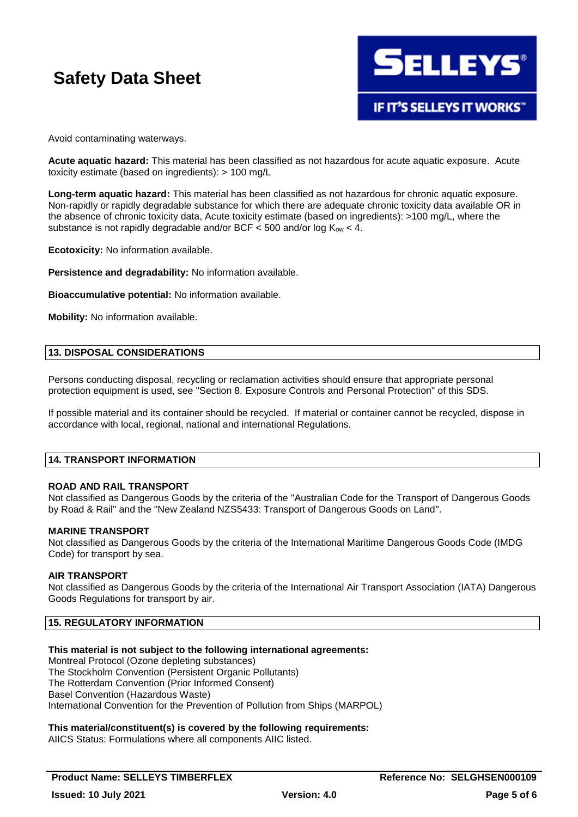

Avoid contaminating waterways.

**Acute aquatic hazard:** This material has been classified as not hazardous for acute aquatic exposure. Acute toxicity estimate (based on ingredients): > 100 mg/L

**Long-term aquatic hazard:** This material has been classified as not hazardous for chronic aquatic exposure. Non-rapidly or rapidly degradable substance for which there are adequate chronic toxicity data available OR in the absence of chronic toxicity data, Acute toxicity estimate (based on ingredients): >100 mg/L, where the substance is not rapidly degradable and/or BCF  $<$  500 and/or log K<sub>ow</sub>  $<$  4.

**Ecotoxicity:** No information available.

**Persistence and degradability:** No information available.

**Bioaccumulative potential:** No information available.

**Mobility:** No information available.

#### **13. DISPOSAL CONSIDERATIONS**

Persons conducting disposal, recycling or reclamation activities should ensure that appropriate personal protection equipment is used, see "Section 8. Exposure Controls and Personal Protection" of this SDS.

If possible material and its container should be recycled. If material or container cannot be recycled, dispose in accordance with local, regional, national and international Regulations.

### **14. TRANSPORT INFORMATION**

#### **ROAD AND RAIL TRANSPORT**

Not classified as Dangerous Goods by the criteria of the "Australian Code for the Transport of Dangerous Goods by Road & Rail" and the "New Zealand NZS5433: Transport of Dangerous Goods on Land".

#### **MARINE TRANSPORT**

Not classified as Dangerous Goods by the criteria of the International Maritime Dangerous Goods Code (IMDG Code) for transport by sea.

#### **AIR TRANSPORT**

Not classified as Dangerous Goods by the criteria of the International Air Transport Association (IATA) Dangerous Goods Regulations for transport by air.

## **15. REGULATORY INFORMATION**

### **This material is not subject to the following international agreements:**

Montreal Protocol (Ozone depleting substances) The Stockholm Convention (Persistent Organic Pollutants) The Rotterdam Convention (Prior Informed Consent) Basel Convention (Hazardous Waste) International Convention for the Prevention of Pollution from Ships (MARPOL)

#### **This material/constituent(s) is covered by the following requirements:**

AIICS Status: Formulations where all components AIIC listed.